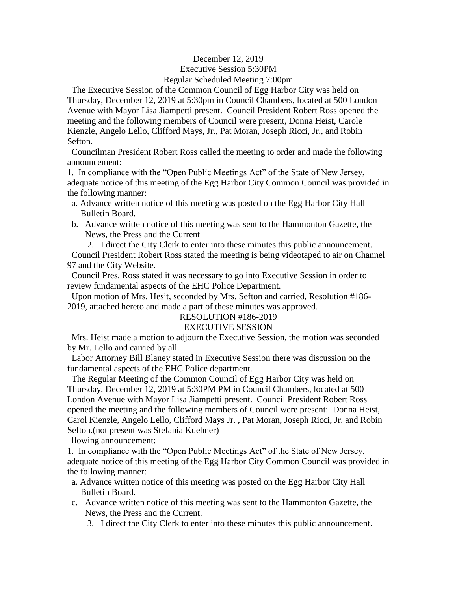## December 12, 2019 Executive Session 5:30PM Regular Scheduled Meeting 7:00pm

 The Executive Session of the Common Council of Egg Harbor City was held on Thursday, December 12, 2019 at 5:30pm in Council Chambers, located at 500 London Avenue with Mayor Lisa Jiampetti present. Council President Robert Ross opened the meeting and the following members of Council were present, Donna Heist, Carole Kienzle, Angelo Lello, Clifford Mays, Jr., Pat Moran, Joseph Ricci, Jr., and Robin Sefton.

 Councilman President Robert Ross called the meeting to order and made the following announcement:

1. In compliance with the "Open Public Meetings Act" of the State of New Jersey, adequate notice of this meeting of the Egg Harbor City Common Council was provided in the following manner:

- a. Advance written notice of this meeting was posted on the Egg Harbor City Hall Bulletin Board.
- b. Advance written notice of this meeting was sent to the Hammonton Gazette, the News, the Press and the Current

2. I direct the City Clerk to enter into these minutes this public announcement. Council President Robert Ross stated the meeting is being videotaped to air on Channel 97 and the City Website.

 Council Pres. Ross stated it was necessary to go into Executive Session in order to review fundamental aspects of the EHC Police Department.

 Upon motion of Mrs. Hesit, seconded by Mrs. Sefton and carried, Resolution #186- 2019, attached hereto and made a part of these minutes was approved.

#### RESOLUTION #186-2019

# EXECUTIVE SESSION

 Mrs. Heist made a motion to adjourn the Executive Session, the motion was seconded by Mr. Lello and carried by all.

 Labor Attorney Bill Blaney stated in Executive Session there was discussion on the fundamental aspects of the EHC Police department.

 The Regular Meeting of the Common Council of Egg Harbor City was held on Thursday, December 12, 2019 at 5:30PM PM in Council Chambers, located at 500 London Avenue with Mayor Lisa Jiampetti present. Council President Robert Ross opened the meeting and the following members of Council were present: Donna Heist, Carol Kienzle, Angelo Lello, Clifford Mays Jr. , Pat Moran, Joseph Ricci, Jr. and Robin Sefton.(not present was Stefania Kuehner)

llowing announcement:

1. In compliance with the "Open Public Meetings Act" of the State of New Jersey, adequate notice of this meeting of the Egg Harbor City Common Council was provided in the following manner:

- a. Advance written notice of this meeting was posted on the Egg Harbor City Hall Bulletin Board.
- c. Advance written notice of this meeting was sent to the Hammonton Gazette, the News, the Press and the Current.
	- 3. I direct the City Clerk to enter into these minutes this public announcement.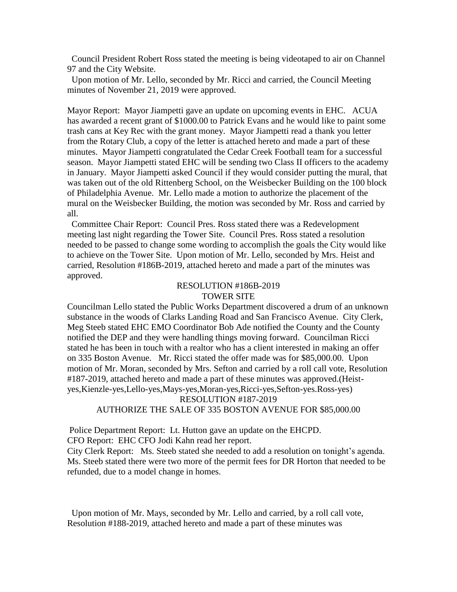Council President Robert Ross stated the meeting is being videotaped to air on Channel 97 and the City Website.

 Upon motion of Mr. Lello, seconded by Mr. Ricci and carried, the Council Meeting minutes of November 21, 2019 were approved.

Mayor Report: Mayor Jiampetti gave an update on upcoming events in EHC. ACUA has awarded a recent grant of \$1000.00 to Patrick Evans and he would like to paint some trash cans at Key Rec with the grant money. Mayor Jiampetti read a thank you letter from the Rotary Club, a copy of the letter is attached hereto and made a part of these minutes. Mayor Jiampetti congratulated the Cedar Creek Football team for a successful season. Mayor Jiampetti stated EHC will be sending two Class II officers to the academy in January. Mayor Jiampetti asked Council if they would consider putting the mural, that was taken out of the old Rittenberg School, on the Weisbecker Building on the 100 block of Philadelphia Avenue. Mr. Lello made a motion to authorize the placement of the mural on the Weisbecker Building, the motion was seconded by Mr. Ross and carried by all.

 Committee Chair Report: Council Pres. Ross stated there was a Redevelopment meeting last night regarding the Tower Site. Council Pres. Ross stated a resolution needed to be passed to change some wording to accomplish the goals the City would like to achieve on the Tower Site. Upon motion of Mr. Lello, seconded by Mrs. Heist and carried, Resolution #186B-2019, attached hereto and made a part of the minutes was approved.

#### RESOLUTION #186B-2019 TOWER SITE

Councilman Lello stated the Public Works Department discovered a drum of an unknown substance in the woods of Clarks Landing Road and San Francisco Avenue. City Clerk, Meg Steeb stated EHC EMO Coordinator Bob Ade notified the County and the County notified the DEP and they were handling things moving forward. Councilman Ricci stated he has been in touch with a realtor who has a client interested in making an offer on 335 Boston Avenue. Mr. Ricci stated the offer made was for \$85,000.00. Upon motion of Mr. Moran, seconded by Mrs. Sefton and carried by a roll call vote, Resolution #187-2019, attached hereto and made a part of these minutes was approved.(Heistyes,Kienzle-yes,Lello-yes,Mays-yes,Moran-yes,Ricci-yes,Sefton-yes.Ross-yes)

RESOLUTION #187-2019

#### AUTHORIZE THE SALE OF 335 BOSTON AVENUE FOR \$85,000.00

Police Department Report: Lt. Hutton gave an update on the EHCPD. CFO Report: EHC CFO Jodi Kahn read her report.

City Clerk Report: Ms. Steeb stated she needed to add a resolution on tonight's agenda. Ms. Steeb stated there were two more of the permit fees for DR Horton that needed to be refunded, due to a model change in homes.

 Upon motion of Mr. Mays, seconded by Mr. Lello and carried, by a roll call vote, Resolution #188-2019, attached hereto and made a part of these minutes was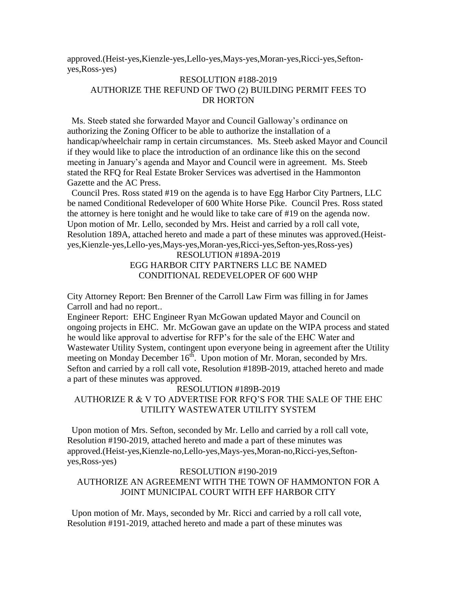approved.(Heist-yes,Kienzle-yes,Lello-yes,Mays-yes,Moran-yes,Ricci-yes,Seftonyes,Ross-yes)

## RESOLUTION #188-2019 AUTHORIZE THE REFUND OF TWO (2) BUILDING PERMIT FEES TO DR HORTON

 Ms. Steeb stated she forwarded Mayor and Council Galloway's ordinance on authorizing the Zoning Officer to be able to authorize the installation of a handicap/wheelchair ramp in certain circumstances. Ms. Steeb asked Mayor and Council if they would like to place the introduction of an ordinance like this on the second meeting in January's agenda and Mayor and Council were in agreement. Ms. Steeb stated the RFQ for Real Estate Broker Services was advertised in the Hammonton Gazette and the AC Press.

 Council Pres. Ross stated #19 on the agenda is to have Egg Harbor City Partners, LLC be named Conditional Redeveloper of 600 White Horse Pike. Council Pres. Ross stated the attorney is here tonight and he would like to take care of #19 on the agenda now. Upon motion of Mr. Lello, seconded by Mrs. Heist and carried by a roll call vote, Resolution 189A, attached hereto and made a part of these minutes was approved.(Heistyes,Kienzle-yes,Lello-yes,Mays-yes,Moran-yes,Ricci-yes,Sefton-yes,Ross-yes)

# RESOLUTION #189A-2019 EGG HARBOR CITY PARTNERS LLC BE NAMED CONDITIONAL REDEVELOPER OF 600 WHP

City Attorney Report: Ben Brenner of the Carroll Law Firm was filling in for James Carroll and had no report..

Engineer Report: EHC Engineer Ryan McGowan updated Mayor and Council on ongoing projects in EHC. Mr. McGowan gave an update on the WIPA process and stated he would like approval to advertise for RFP's for the sale of the EHC Water and Wastewater Utility System, contingent upon everyone being in agreement after the Utility meeting on Monday December  $16^{th}$ . Upon motion of Mr. Moran, seconded by Mrs. Sefton and carried by a roll call vote, Resolution #189B-2019, attached hereto and made a part of these minutes was approved.

#### RESOLUTION #189B-2019

# AUTHORIZE R & V TO ADVERTISE FOR RFQ'S FOR THE SALE OF THE EHC UTILITY WASTEWATER UTILITY SYSTEM

 Upon motion of Mrs. Sefton, seconded by Mr. Lello and carried by a roll call vote, Resolution #190-2019, attached hereto and made a part of these minutes was approved.(Heist-yes,Kienzle-no,Lello-yes,Mays-yes,Moran-no,Ricci-yes,Seftonyes,Ross-yes)

#### RESOLUTION #190-2019

## AUTHORIZE AN AGREEMENT WITH THE TOWN OF HAMMONTON FOR A JOINT MUNICIPAL COURT WITH EFF HARBOR CITY

 Upon motion of Mr. Mays, seconded by Mr. Ricci and carried by a roll call vote, Resolution #191-2019, attached hereto and made a part of these minutes was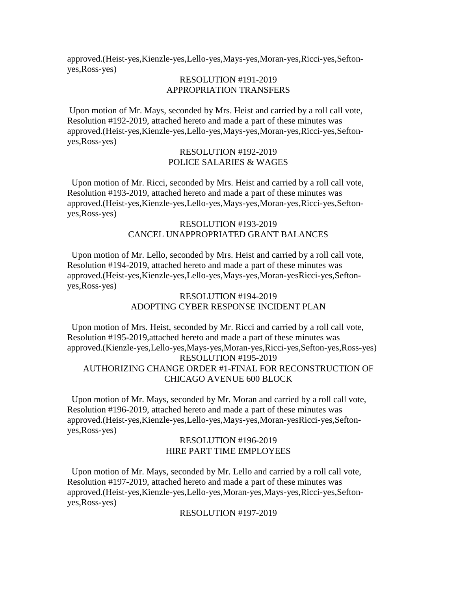approved.(Heist-yes,Kienzle-yes,Lello-yes,Mays-yes,Moran-yes,Ricci-yes,Seftonyes,Ross-yes)

## RESOLUTION #191-2019 APPROPRIATION TRANSFERS

Upon motion of Mr. Mays, seconded by Mrs. Heist and carried by a roll call vote, Resolution #192-2019, attached hereto and made a part of these minutes was approved.(Heist-yes,Kienzle-yes,Lello-yes,Mays-yes,Moran-yes,Ricci-yes,Seftonyes,Ross-yes)

#### RESOLUTION #192-2019 POLICE SALARIES & WAGES

 Upon motion of Mr. Ricci, seconded by Mrs. Heist and carried by a roll call vote, Resolution #193-2019, attached hereto and made a part of these minutes was approved.(Heist-yes,Kienzle-yes,Lello-yes,Mays-yes,Moran-yes,Ricci-yes,Seftonyes,Ross-yes)

## RESOLUTION #193-2019 CANCEL UNAPPROPRIATED GRANT BALANCES

 Upon motion of Mr. Lello, seconded by Mrs. Heist and carried by a roll call vote, Resolution #194-2019, attached hereto and made a part of these minutes was approved.(Heist-yes,Kienzle-yes,Lello-yes,Mays-yes,Moran-yesRicci-yes,Seftonyes,Ross-yes)

#### RESOLUTION #194-2019 ADOPTING CYBER RESPONSE INCIDENT PLAN

 Upon motion of Mrs. Heist, seconded by Mr. Ricci and carried by a roll call vote, Resolution #195-2019,attached hereto and made a part of these minutes was approved.(Kienzle-yes,Lello-yes,Mays-yes,Moran-yes,Ricci-yes,Sefton-yes,Ross-yes) RESOLUTION #195-2019 AUTHORIZING CHANGE ORDER #1-FINAL FOR RECONSTRUCTION OF CHICAGO AVENUE 600 BLOCK

 Upon motion of Mr. Mays, seconded by Mr. Moran and carried by a roll call vote, Resolution #196-2019, attached hereto and made a part of these minutes was approved.(Heist-yes,Kienzle-yes,Lello-yes,Mays-yes,Moran-yesRicci-yes,Seftonyes,Ross-yes)

## RESOLUTION #196-2019 HIRE PART TIME EMPLOYEES

 Upon motion of Mr. Mays, seconded by Mr. Lello and carried by a roll call vote, Resolution #197-2019, attached hereto and made a part of these minutes was approved.(Heist-yes,Kienzle-yes,Lello-yes,Moran-yes,Mays-yes,Ricci-yes,Seftonyes,Ross-yes)

RESOLUTION #197-2019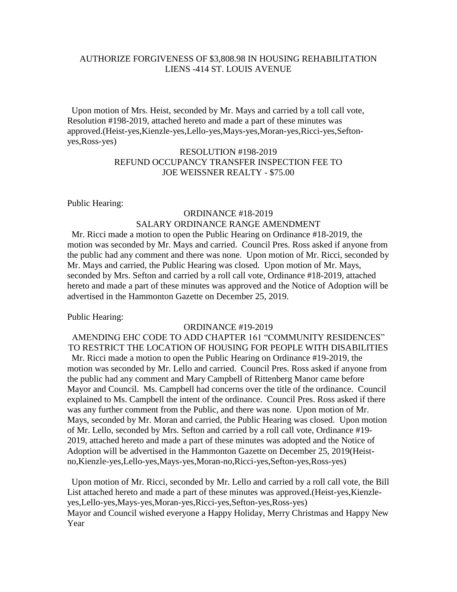## AUTHORIZE FORGIVENESS OF \$3,808.98 IN HOUSING REHABILITATION LIENS -414 ST. LOUIS AVENUE

 Upon motion of Mrs. Heist, seconded by Mr. Mays and carried by a toll call vote, Resolution #198-2019, attached hereto and made a part of these minutes was approved.(Heist-yes,Kienzle-yes,Lello-yes,Mays-yes,Moran-yes,Ricci-yes,Seftonyes,Ross-yes)

## RESOLUTION #198-2019 REFUND OCCUPANCY TRANSFER INSPECTION FEE TO JOE WEISSNER REALTY - \$75.00

#### Public Hearing:

# ORDINANCE #18-2019 SALARY ORDINANCE RANGE AMENDMENT

 Mr. Ricci made a motion to open the Public Hearing on Ordinance #18-2019, the motion was seconded by Mr. Mays and carried. Council Pres. Ross asked if anyone from the public had any comment and there was none. Upon motion of Mr. Ricci, seconded by Mr. Mays and carried, the Public Hearing was closed. Upon motion of Mr. Mays, seconded by Mrs. Sefton and carried by a roll call vote, Ordinance #18-2019, attached hereto and made a part of these minutes was approved and the Notice of Adoption will be advertised in the Hammonton Gazette on December 25, 2019.

Public Hearing:

#### ORDINANCE #19-2019

AMENDING EHC CODE TO ADD CHAPTER 161 "COMMUNITY RESIDENCES" TO RESTRICT THE LOCATION OF HOUSING FOR PEOPLE WITH DISABILITIES Mr. Ricci made a motion to open the Public Hearing on Ordinance #19-2019, the motion was seconded by Mr. Lello and carried. Council Pres. Ross asked if anyone from the public had any comment and Mary Campbell of Rittenberg Manor came before Mayor and Council. Ms. Campbell had concerns over the title of the ordinance. Council explained to Ms. Campbell the intent of the ordinance. Council Pres. Ross asked if there was any further comment from the Public, and there was none. Upon motion of Mr. Mays, seconded by Mr. Moran and carried, the Public Hearing was closed. Upon motion of Mr. Lello, seconded by Mrs. Sefton and carried by a roll call vote, Ordinance #19- 2019, attached hereto and made a part of these minutes was adopted and the Notice of Adoption will be advertised in the Hammonton Gazette on December 25, 2019(Heistno,Kienzle-yes,Lello-yes,Mays-yes,Moran-no,Ricci-yes,Sefton-yes,Ross-yes)

 Upon motion of Mr. Ricci, seconded by Mr. Lello and carried by a roll call vote, the Bill List attached hereto and made a part of these minutes was approved.(Heist-yes,Kienzleyes,Lello-yes,Mays-yes,Moran-yes,Ricci-yes,Sefton-yes,Ross-yes) Mayor and Council wished everyone a Happy Holiday, Merry Christmas and Happy New Year